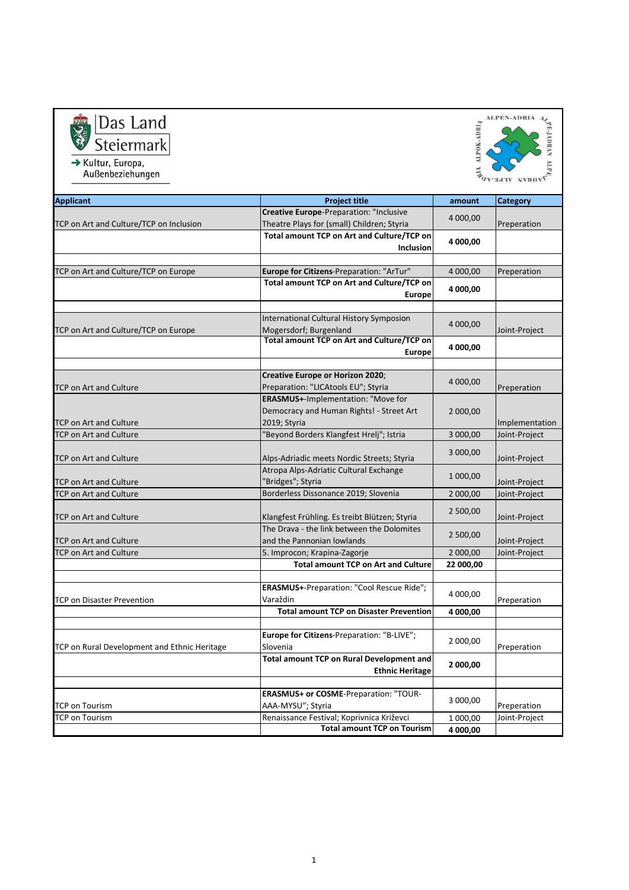



| <b>Applicant</b>                                               | <b>Project title</b>                                                                        | amount               | <b>Category</b> |
|----------------------------------------------------------------|---------------------------------------------------------------------------------------------|----------------------|-----------------|
|                                                                | Creative Europe-Preparation: "Inclusive                                                     |                      |                 |
| TCP on Art and Culture/TCP on Inclusion                        | Theatre Plays for (small) Children; Styria                                                  | 4 000,00             | Preperation     |
|                                                                | Total amount TCP on Art and Culture/TCP on                                                  |                      |                 |
|                                                                | Inclusion                                                                                   | 4 000,00             |                 |
|                                                                |                                                                                             |                      |                 |
| TCP on Art and Culture/TCP on Europe                           | Europe for Citizens-Preparation: "ArTur"                                                    | 4 000,00             | Preperation     |
|                                                                | Total amount TCP on Art and Culture/TCP on                                                  | 4 000,00             |                 |
|                                                                | <b>Europe</b>                                                                               |                      |                 |
|                                                                |                                                                                             |                      |                 |
|                                                                | International Cultural History Symposion                                                    | 4 000,00             |                 |
| TCP on Art and Culture/TCP on Europe                           | Mogersdorf; Burgenland                                                                      |                      | Joint-Project   |
|                                                                | <b>Total amount TCP on Art and Culture/TCP on</b>                                           | 4 000,00             |                 |
|                                                                | <b>Europe</b>                                                                               |                      |                 |
|                                                                |                                                                                             |                      |                 |
|                                                                | Creative Europe or Horizon 2020;                                                            | 4 000,00             |                 |
| <b>TCP on Art and Culture</b>                                  | Preparation: "LICAtools EU"; Styria                                                         |                      | Preperation     |
|                                                                | <b>ERASMUS+-Implementation: "Move for</b>                                                   |                      |                 |
|                                                                | Democracy and Human Rights! - Street Art                                                    | 2 000,00             |                 |
| <b>TCP on Art and Culture</b>                                  | 2019; Styria                                                                                |                      | Implementation  |
| <b>TCP on Art and Culture</b>                                  | "Beyond Borders Klangfest Hrelj"; Istria                                                    | 3 000,00             | Joint-Project   |
|                                                                |                                                                                             | 3 000,00<br>1 000,00 |                 |
| <b>TCP on Art and Culture</b>                                  | Alps-Adriadic meets Nordic Streets; Styria                                                  |                      | Joint-Project   |
|                                                                | Atropa Alps-Adriatic Cultural Exchange                                                      |                      |                 |
| <b>TCP on Art and Culture</b><br><b>TCP on Art and Culture</b> | "Bridges"; Styria<br>Borderless Dissonance 2019; Slovenia                                   |                      | Joint-Project   |
|                                                                |                                                                                             | 2 000,00             | Joint-Project   |
| <b>TCP on Art and Culture</b>                                  |                                                                                             | 2 500,00             | Joint-Project   |
|                                                                | Klangfest Frühling. Es treibt Blützen; Styria<br>The Drava - the link between the Dolomites |                      |                 |
| <b>TCP on Art and Culture</b>                                  | and the Pannonian lowlands                                                                  | 2 500,00             | Joint-Project   |
| TCP on Art and Culture                                         | 5. Improcon; Krapina-Zagorje                                                                | 2 000,00             | Joint-Project   |
|                                                                | <b>Total amount TCP on Art and Culture</b>                                                  | 22 000,00            |                 |
|                                                                |                                                                                             |                      |                 |
|                                                                | ERASMUS+-Preparation: "Cool Rescue Ride";                                                   |                      |                 |
| <b>TCP on Disaster Prevention</b>                              | Varaždin                                                                                    | 4 000,00             | Preperation     |
|                                                                | <b>Total amount TCP on Disaster Prevention</b>                                              | 4 000,00             |                 |
|                                                                |                                                                                             |                      |                 |
|                                                                | Europe for Citizens-Preparation: "B-LIVE";                                                  |                      |                 |
| TCP on Rural Development and Ethnic Heritage                   | Slovenia                                                                                    | 2 000,00             | Preperation     |
|                                                                | <b>Total amount TCP on Rural Development and</b>                                            | 2 000,00             |                 |
|                                                                | <b>Ethnic Heritage</b>                                                                      |                      |                 |
|                                                                |                                                                                             |                      |                 |
|                                                                | <b>ERASMUS+ or COSME-Preparation: "TOUR-</b>                                                |                      |                 |
| TCP on Tourism                                                 | AAA-MYSU"; Styria                                                                           | 3 000,00             | Preperation     |
| <b>TCP on Tourism</b>                                          | Renaissance Festival; Koprivnica Križevci                                                   | 1 000,00             | Joint-Project   |
|                                                                | <b>Total amount TCP on Tourism</b>                                                          | 4 000,00             |                 |